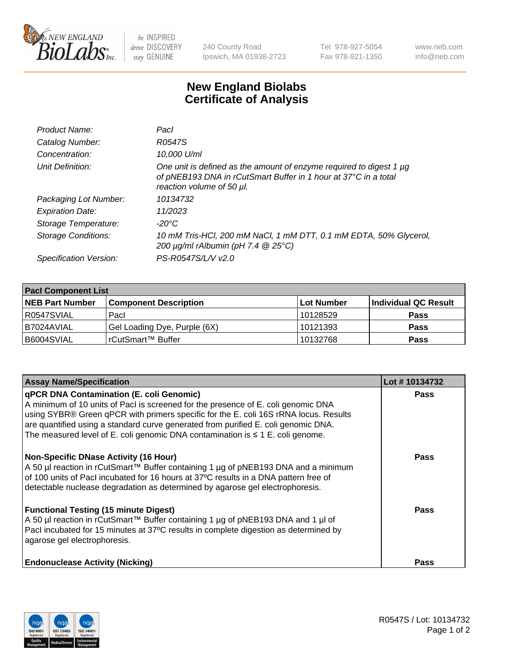

 $be$  INSPIRED drive DISCOVERY stay GENUINE

240 County Road Ipswich, MA 01938-2723 Tel 978-927-5054 Fax 978-921-1350 www.neb.com info@neb.com

## **New England Biolabs Certificate of Analysis**

| Product Name:           | Pacl                                                                                                                                                                |
|-------------------------|---------------------------------------------------------------------------------------------------------------------------------------------------------------------|
| Catalog Number:         | R0547S                                                                                                                                                              |
| Concentration:          | 10,000 U/ml                                                                                                                                                         |
| Unit Definition:        | One unit is defined as the amount of enzyme required to digest 1 µg<br>of pNEB193 DNA in rCutSmart Buffer in 1 hour at 37°C in a total<br>reaction volume of 50 µl. |
| Packaging Lot Number:   | 10134732                                                                                                                                                            |
| <b>Expiration Date:</b> | 11/2023                                                                                                                                                             |
| Storage Temperature:    | $-20^{\circ}$ C                                                                                                                                                     |
| Storage Conditions:     | 10 mM Tris-HCl, 200 mM NaCl, 1 mM DTT, 0.1 mM EDTA, 50% Glycerol,<br>200 $\mu$ g/ml rAlbumin (pH 7.4 $@$ 25°C)                                                      |
| Specification Version:  | PS-R0547S/L/V v2.0                                                                                                                                                  |
|                         |                                                                                                                                                                     |

| <b>Pacl Component List</b> |                              |            |                      |  |  |
|----------------------------|------------------------------|------------|----------------------|--|--|
| <b>NEB Part Number</b>     | <b>Component Description</b> | Lot Number | Individual QC Result |  |  |
| R0547SVIAL                 | Pacl                         | 10128529   | <b>Pass</b>          |  |  |
| I B7024AVIAL               | Gel Loading Dye, Purple (6X) | 10121393   | <b>Pass</b>          |  |  |
| B6004SVIAL                 | rCutSmart™ Buffer            | 10132768   | <b>Pass</b>          |  |  |

| <b>Assay Name/Specification</b>                                                                                                                                                                                                                                                                                                                                                                    | Lot #10134732 |
|----------------------------------------------------------------------------------------------------------------------------------------------------------------------------------------------------------------------------------------------------------------------------------------------------------------------------------------------------------------------------------------------------|---------------|
| qPCR DNA Contamination (E. coli Genomic)<br>A minimum of 10 units of Pacl is screened for the presence of E. coli genomic DNA<br>using SYBR® Green qPCR with primers specific for the E. coli 16S rRNA locus. Results<br>are quantified using a standard curve generated from purified E. coli genomic DNA.<br>The measured level of E. coli genomic DNA contamination is $\leq 1$ E. coli genome. | <b>Pass</b>   |
| <b>Non-Specific DNase Activity (16 Hour)</b><br>A 50 µl reaction in rCutSmart™ Buffer containing 1 µg of pNEB193 DNA and a minimum<br>of 100 units of Pacl incubated for 16 hours at 37°C results in a DNA pattern free of<br>detectable nuclease degradation as determined by agarose gel electrophoresis.                                                                                        | <b>Pass</b>   |
| <b>Functional Testing (15 minute Digest)</b><br>A 50 µl reaction in rCutSmart™ Buffer containing 1 µg of pNEB193 DNA and 1 µl of<br>Pacl incubated for 15 minutes at 37°C results in complete digestion as determined by<br>agarose gel electrophoresis.                                                                                                                                           | <b>Pass</b>   |
| <b>Endonuclease Activity (Nicking)</b>                                                                                                                                                                                                                                                                                                                                                             | Pass          |